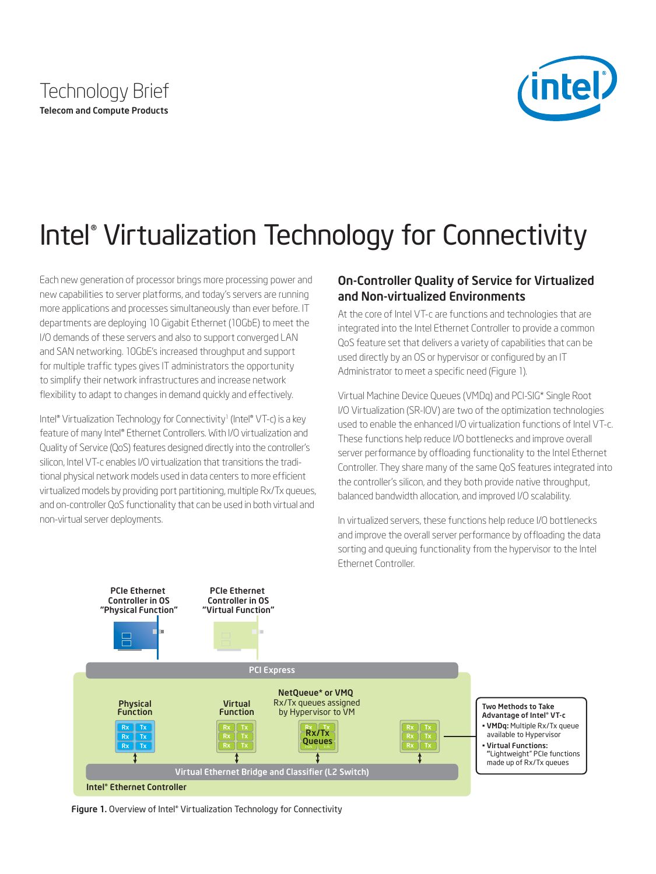



# Intel® Virtualization Technology for Connectivity

Each new generation of processor brings more processing power and new capabilities to server platforms, and today's servers are running more applications and processes simultaneously than ever before. IT departments are deploying 10 Gigabit Ethernet (10GbE) to meet the I/O demands of these servers and also to support converged LAN and SAN networking. 10GbE's increased throughput and support for multiple traffic types gives IT administrators the opportunity to simplify their network infrastructures and increase network flexibility to adapt to changes in demand quickly and effectively.

Intel® Virtualization Technology for Connectivity<sup>1</sup> (Intel® VT-c) is a key feature of many Intel® Ethernet Controllers. With I/O virtualization and Quality of Service (QoS) features designed directly into the controller's silicon, Intel VT-c enables I/O virtualization that transitions the traditional physical network models used in data centers to more efficient virtualized models by providing port partitioning, multiple Rx/Tx queues, and on-controller QoS functionality that can be used in both virtual and non-virtual server deployments.

## On-Controller Quality of Service for Virtualized and Non-virtualized Environments

At the core of Intel VT-c are functions and technologies that are integrated into the Intel Ethernet Controller to provide a common QoS feature set that delivers a variety of capabilities that can be used directly by an OS or hypervisor or configured by an IT Administrator to meet a specific need (Figure 1).

Virtual Machine Device Queues (VMDq) and PCI-SIG\* Single Root I/O Virtualization (SR-IOV) are two of the optimization technologies used to enable the enhanced I/O virtualization functions of Intel VT-c. These functions help reduce I/O bottlenecks and improve overall server performance by offloading functionality to the Intel Ethernet Controller. They share many of the same QoS features integrated into the controller's silicon, and they both provide native throughput, balanced bandwidth allocation, and improved I/O scalability.

In virtualized servers, these functions help reduce I/O bottlenecks and improve the overall server performance by offloading the data sorting and queuing functionality from the hypervisor to the Intel Ethernet Controller.



Figure 1. Overview of Intel® Virtualization Technology for Connectivity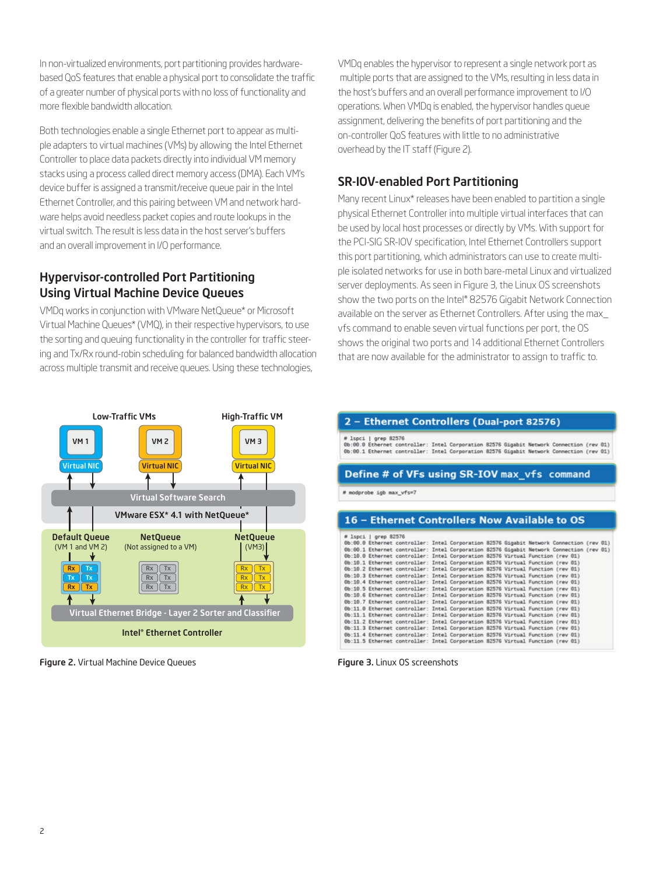In non-virtualized environments, port partitioning provides hardwarebased QoS features that enable a physical port to consolidate the traffic of a greater number of physical ports with no loss of functionality and more flexible bandwidth allocation.

Both technologies enable a single Ethernet port to appear as multiple adapters to virtual machines (VMs) by allowing the Intel Ethernet Controller to place data packets directly into individual VM memory stacks using a process called direct memory access (DMA). Each VM's device buffer is assigned a transmit/receive queue pair in the Intel Ethernet Controller, and this pairing between VM and network hardware helps avoid needless packet copies and route lookups in the virtual switch. The result is less data in the host server's buffers and an overall improvement in I/O performance.

# Hypervisor-controlled Port Partitioning Using Virtual Machine Device Queues

VMDq works in conjunction with VMware NetQueue\* or Microsoft Virtual Machine Queues\* (VMQ), in their respective hypervisors, to use the sorting and queuing functionality in the controller for traffic steering and Tx/Rx round-robin scheduling for balanced bandwidth allocation across multiple transmit and receive queues. Using these technologies,



Figure 2. Virtual Machine Device Queues

VMDq enables the hypervisor to represent a single network port as multiple ports that are assigned to the VMs, resulting in less data in the host's buffers and an overall performance improvement to I/O operations. When VMDq is enabled, the hypervisor handles queue assignment, delivering the benefits of port partitioning and the on-controller QoS features with little to no administrative overhead by the IT staff (Figure 2).

# SR-IOV-enabled Port Partitioning

Many recent Linux\* releases have been enabled to partition a single physical Ethernet Controller into multiple virtual interfaces that can be used by local host processes or directly by VMs. With support for the PCI-SIG SR-IOV specification, Intel Ethernet Controllers support this port partitioning, which administrators can use to create multiple isolated networks for use in both bare-metal Linux and virtualized server deployments. As seen in Figure 3, the Linux OS screenshots show the two ports on the Intel® 82576 Gigabit Network Connection available on the server as Ethernet Controllers. After using the max\_ vfs command to enable seven virtual functions per port, the OS shows the original two ports and 14 additional Ethernet Controllers that are now available for the administrator to assign to traffic to.

| 2 – Ethernet Controllers (Dual-port 82576)<br># 1spci   grep 82576<br>0b:00.0 Ethernet controller: Intel Corporation 82576 Gigabit Network Connection (rev 01)<br>0b:00.1 Ethernet controller: Intel Corporation 82576 Gigabit Network Connection (rev 01)<br>Define # of VFs using SR-IOV max_vfs command |                                                                                                                                                                                      |                          |                                               |
|------------------------------------------------------------------------------------------------------------------------------------------------------------------------------------------------------------------------------------------------------------------------------------------------------------|--------------------------------------------------------------------------------------------------------------------------------------------------------------------------------------|--------------------------|-----------------------------------------------|
|                                                                                                                                                                                                                                                                                                            |                                                                                                                                                                                      | # modprobe igb max vfs=7 |                                               |
|                                                                                                                                                                                                                                                                                                            |                                                                                                                                                                                      |                          | 16 - Ethernet Controllers Now Available to OS |
|                                                                                                                                                                                                                                                                                                            |                                                                                                                                                                                      |                          |                                               |
| # 1spci   grep 82576                                                                                                                                                                                                                                                                                       |                                                                                                                                                                                      |                          |                                               |
|                                                                                                                                                                                                                                                                                                            | 0b:00.0 Ethernet controller: Intel Corporation 82576 Gigabit Network Connection (rev 01)<br>0b:00.1 Ethernet controller: Intel Corporation 82576 Gigabit Network Connection (rev 01) |                          |                                               |
|                                                                                                                                                                                                                                                                                                            | 0b:10.0 Ethernet controller: Intel Corporation 82576 Virtual Function (rev 01)                                                                                                       |                          |                                               |
|                                                                                                                                                                                                                                                                                                            | 0b:10.1 Ethernet controller: Intel Corporation 82576 Virtual Function (rev 01)                                                                                                       |                          |                                               |
|                                                                                                                                                                                                                                                                                                            | 0b:10.2 Ethernet controller: Intel Corporation 82576 Virtual Function (rev 01)                                                                                                       |                          |                                               |
|                                                                                                                                                                                                                                                                                                            | 0b:10.3 Ethernet controller: Intel Corporation 82576 Virtual Function (rev 01)                                                                                                       |                          |                                               |
|                                                                                                                                                                                                                                                                                                            |                                                                                                                                                                                      |                          |                                               |
|                                                                                                                                                                                                                                                                                                            |                                                                                                                                                                                      |                          |                                               |
|                                                                                                                                                                                                                                                                                                            | 0b:10.4 Ethernet controller: Intel Corporation 82576 Virtual Function (rev 01)                                                                                                       |                          |                                               |
|                                                                                                                                                                                                                                                                                                            | 0b:10.5 Ethernet controller: Intel Corporation 82576 Virtual Function (rev 01)                                                                                                       |                          |                                               |
|                                                                                                                                                                                                                                                                                                            | 0b:10.6 Ethernet controller: Intel Corporation 82576 Virtual Function (rev 01)                                                                                                       |                          |                                               |
|                                                                                                                                                                                                                                                                                                            | 0b:10.7 Ethernet controller: Intel Corporation 82576 Virtual Function (rev 01)                                                                                                       |                          |                                               |
|                                                                                                                                                                                                                                                                                                            | 0b:11.0 Ethernet controller: Intel Corporation 82576 Virtual Function (rev 01)<br>0b:11.1 Ethernet controller: Intel Corporation 82576 Virtual Function (rev 01)                     |                          |                                               |
|                                                                                                                                                                                                                                                                                                            |                                                                                                                                                                                      |                          |                                               |
|                                                                                                                                                                                                                                                                                                            | 0b:11.2 Ethernet controller: Intel Corporation 82576 Virtual Function (rev 01)<br>0b:11.3 Ethernet controller: Intel Corporation 82576 Virtual Function (rev 01)                     |                          |                                               |
|                                                                                                                                                                                                                                                                                                            | 0b:11.4 Ethernet controller: Intel Corporation 82576 Virtual Function (rev 01)                                                                                                       |                          |                                               |

Figure 3. Linux OS screenshots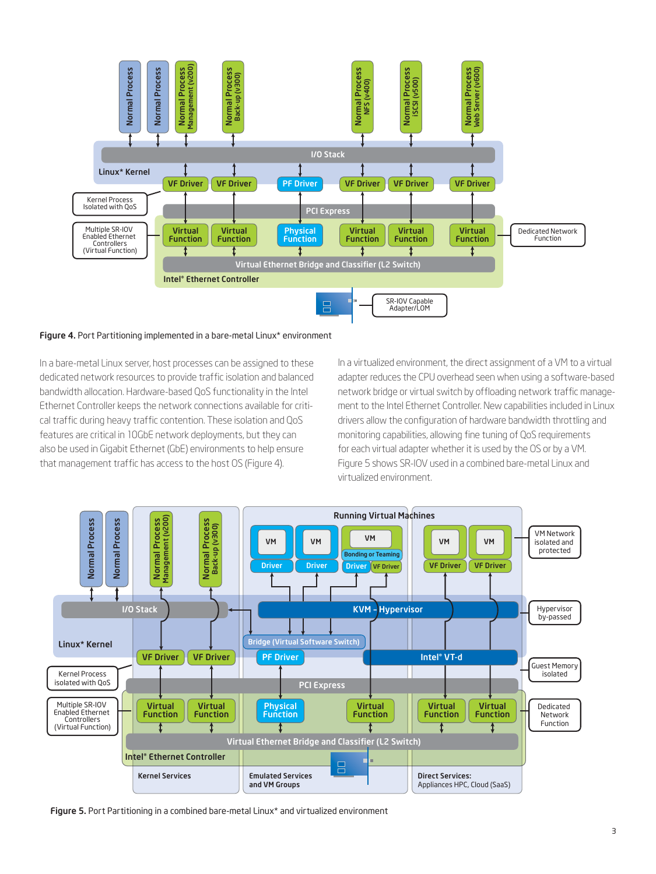

#### Figure 4. Port Partitioning implemented in a bare-metal Linux\* environment

In a bare-metal Linux server, host processes can be assigned to these dedicated network resources to provide traffic isolation and balanced bandwidth allocation. Hardware-based QoS functionality in the Intel Ethernet Controller keeps the network connections available for critical traffic during heavy traffic contention. These isolation and QoS features are critical in 10GbE network deployments, but they can also be used in Gigabit Ethernet (GbE) environments to help ensure that management traffic has access to the host OS (Figure 4).

In a virtualized environment, the direct assignment of a VM to a virtual adapter reduces the CPU overhead seen when using a software-based network bridge or virtual switch by offloading network traffic management to the Intel Ethernet Controller. New capabilities included in Linux drivers allow the configuration of hardware bandwidth throttling and monitoring capabilities, allowing fine tuning of QoS requirements for each virtual adapter whether it is used by the OS or by a VM. Figure 5 shows SR-IOV used in a combined bare-metal Linux and virtualized environment.



Figure 5. Port Partitioning in a combined bare-metal Linux\* and virtualized environment